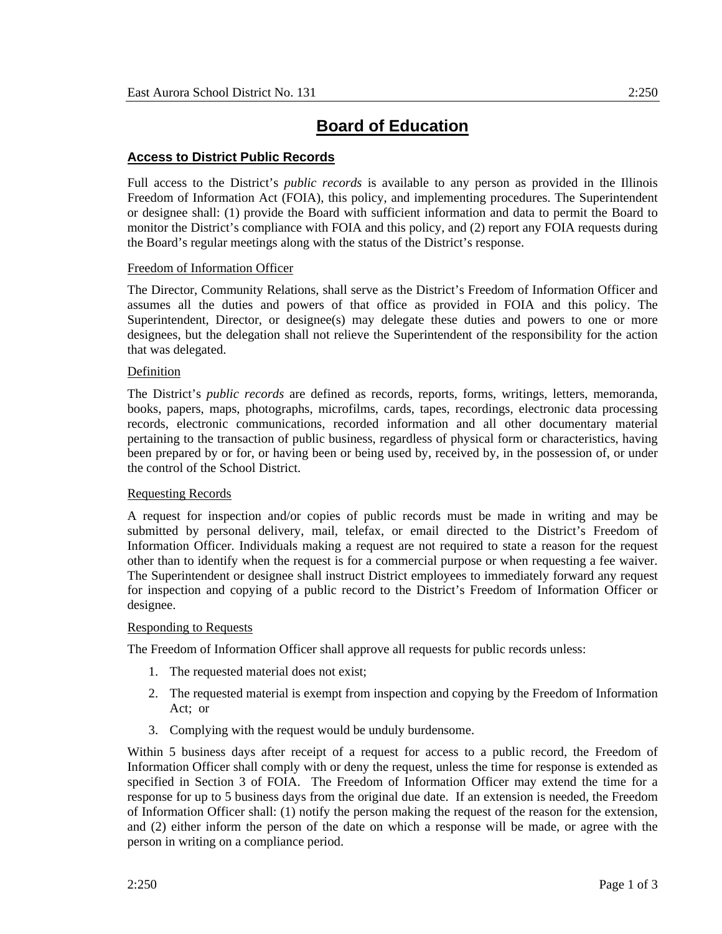# **Board of Education**

# **Access to District Public Records**

Full access to the District's *public records* is available to any person as provided in the Illinois Freedom of Information Act (FOIA), this policy, and implementing procedures. The Superintendent or designee shall: (1) provide the Board with sufficient information and data to permit the Board to monitor the District's compliance with FOIA and this policy, and (2) report any FOIA requests during the Board's regular meetings along with the status of the District's response.

# Freedom of Information Officer

The Director, Community Relations, shall serve as the District's Freedom of Information Officer and assumes all the duties and powers of that office as provided in FOIA and this policy. The Superintendent, Director, or designee(s) may delegate these duties and powers to one or more designees, but the delegation shall not relieve the Superintendent of the responsibility for the action that was delegated.

### Definition

The District's *public records* are defined as records, reports, forms, writings, letters, memoranda, books, papers, maps, photographs, microfilms, cards, tapes, recordings, electronic data processing records, electronic communications, recorded information and all other documentary material pertaining to the transaction of public business, regardless of physical form or characteristics, having been prepared by or for, or having been or being used by, received by, in the possession of, or under the control of the School District.

# Requesting Records

A request for inspection and/or copies of public records must be made in writing and may be submitted by personal delivery, mail, telefax, or email directed to the District's Freedom of Information Officer. Individuals making a request are not required to state a reason for the request other than to identify when the request is for a commercial purpose or when requesting a fee waiver. The Superintendent or designee shall instruct District employees to immediately forward any request for inspection and copying of a public record to the District's Freedom of Information Officer or designee.

# **Responding to Requests**

The Freedom of Information Officer shall approve all requests for public records unless:

- 1. The requested material does not exist;
- 2. The requested material is exempt from inspection and copying by the Freedom of Information Act; or
- 3. Complying with the request would be unduly burdensome.

Within 5 business days after receipt of a request for access to a public record, the Freedom of Information Officer shall comply with or deny the request, unless the time for response is extended as specified in Section 3 of FOIA. The Freedom of Information Officer may extend the time for a response for up to 5 business days from the original due date. If an extension is needed, the Freedom of Information Officer shall: (1) notify the person making the request of the reason for the extension, and (2) either inform the person of the date on which a response will be made, or agree with the person in writing on a compliance period.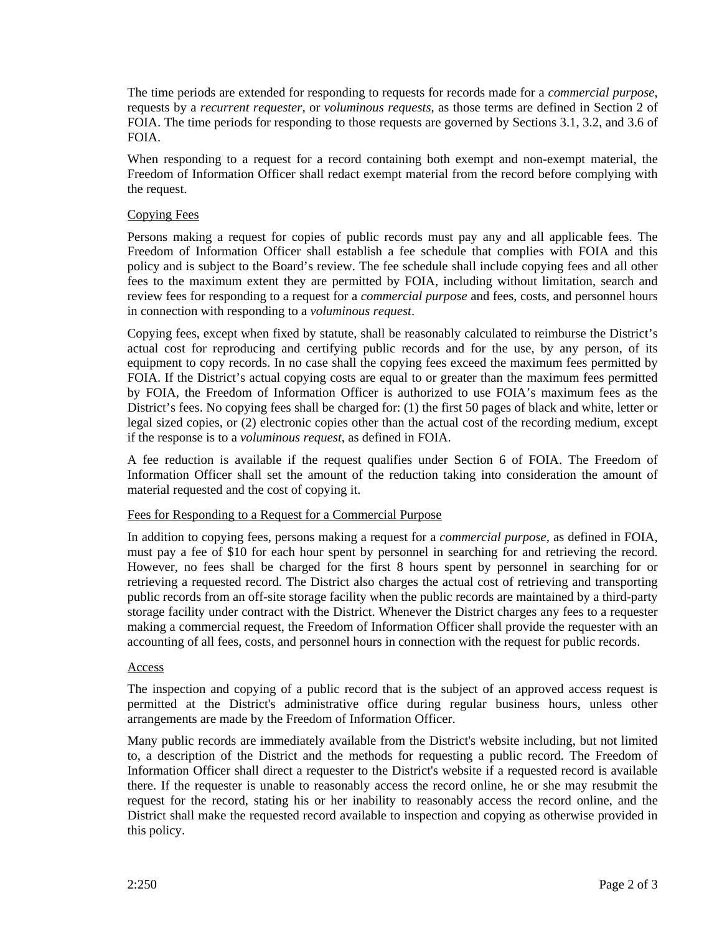The time periods are extended for responding to requests for records made for a *commercial purpose*, requests by a *recurrent requester*, or *voluminous requests*, as those terms are defined in Section 2 of FOIA. The time periods for responding to those requests are governed by Sections 3.1, 3.2, and 3.6 of FOIA.

When responding to a request for a record containing both exempt and non-exempt material, the Freedom of Information Officer shall redact exempt material from the record before complying with the request.

## Copying Fees

Persons making a request for copies of public records must pay any and all applicable fees. The Freedom of Information Officer shall establish a fee schedule that complies with FOIA and this policy and is subject to the Board's review. The fee schedule shall include copying fees and all other fees to the maximum extent they are permitted by FOIA, including without limitation, search and review fees for responding to a request for a *commercial purpose* and fees, costs, and personnel hours in connection with responding to a *voluminous request*.

Copying fees, except when fixed by statute, shall be reasonably calculated to reimburse the District's actual cost for reproducing and certifying public records and for the use, by any person, of its equipment to copy records. In no case shall the copying fees exceed the maximum fees permitted by FOIA. If the District's actual copying costs are equal to or greater than the maximum fees permitted by FOIA, the Freedom of Information Officer is authorized to use FOIA's maximum fees as the District's fees. No copying fees shall be charged for: (1) the first 50 pages of black and white, letter or legal sized copies, or (2) electronic copies other than the actual cost of the recording medium, except if the response is to a *voluminous request*, as defined in FOIA.

A fee reduction is available if the request qualifies under Section 6 of FOIA. The Freedom of Information Officer shall set the amount of the reduction taking into consideration the amount of material requested and the cost of copying it.

#### Fees for Responding to a Request for a Commercial Purpose

In addition to copying fees, persons making a request for a *commercial purpose,* as defined in FOIA, must pay a fee of \$10 for each hour spent by personnel in searching for and retrieving the record. However, no fees shall be charged for the first 8 hours spent by personnel in searching for or retrieving a requested record. The District also charges the actual cost of retrieving and transporting public records from an off-site storage facility when the public records are maintained by a third-party storage facility under contract with the District. Whenever the District charges any fees to a requester making a commercial request, the Freedom of Information Officer shall provide the requester with an accounting of all fees, costs, and personnel hours in connection with the request for public records.

#### Access

The inspection and copying of a public record that is the subject of an approved access request is permitted at the District's administrative office during regular business hours, unless other arrangements are made by the Freedom of Information Officer.

Many public records are immediately available from the District's website including, but not limited to, a description of the District and the methods for requesting a public record. The Freedom of Information Officer shall direct a requester to the District's website if a requested record is available there. If the requester is unable to reasonably access the record online, he or she may resubmit the request for the record, stating his or her inability to reasonably access the record online, and the District shall make the requested record available to inspection and copying as otherwise provided in this policy.